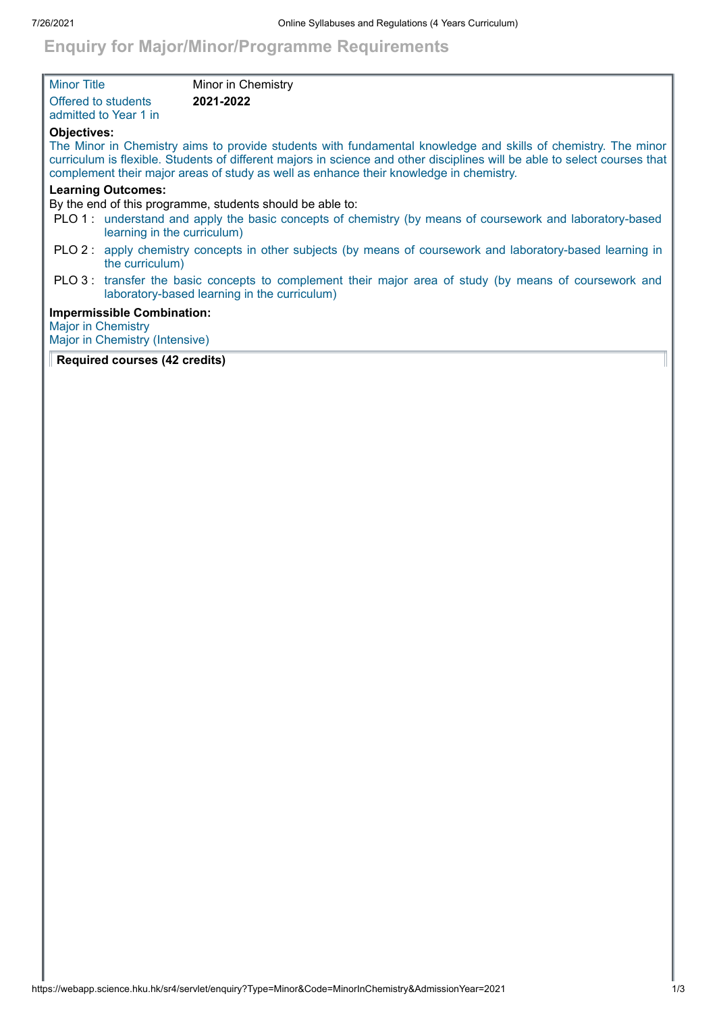## **Enquiry for Major/Minor/Programme Requirements**

| <b>Minor Title</b>        |                                                                     | Minor in Chemistry                                                                                                                                                                                                                                                                                                                   |
|---------------------------|---------------------------------------------------------------------|--------------------------------------------------------------------------------------------------------------------------------------------------------------------------------------------------------------------------------------------------------------------------------------------------------------------------------------|
|                           | Offered to students<br>admitted to Year 1 in                        | 2021-2022                                                                                                                                                                                                                                                                                                                            |
| <b>Objectives:</b>        |                                                                     | The Minor in Chemistry aims to provide students with fundamental knowledge and skills of chemistry. The minor<br>curriculum is flexible. Students of different majors in science and other disciplines will be able to select courses that<br>complement their major areas of study as well as enhance their knowledge in chemistry. |
|                           | <b>Learning Outcomes:</b>                                           | By the end of this programme, students should be able to:                                                                                                                                                                                                                                                                            |
|                           | learning in the curriculum)                                         | PLO 1: understand and apply the basic concepts of chemistry (by means of coursework and laboratory-based                                                                                                                                                                                                                             |
|                           | the curriculum)                                                     | PLO 2: apply chemistry concepts in other subjects (by means of coursework and laboratory-based learning in                                                                                                                                                                                                                           |
|                           |                                                                     | PLO 3: transfer the basic concepts to complement their major area of study (by means of coursework and<br>laboratory-based learning in the curriculum)                                                                                                                                                                               |
| <b>Major in Chemistry</b> | <b>Impermissible Combination:</b><br>Major in Chemistry (Intensive) |                                                                                                                                                                                                                                                                                                                                      |

## **Required courses (42 credits)**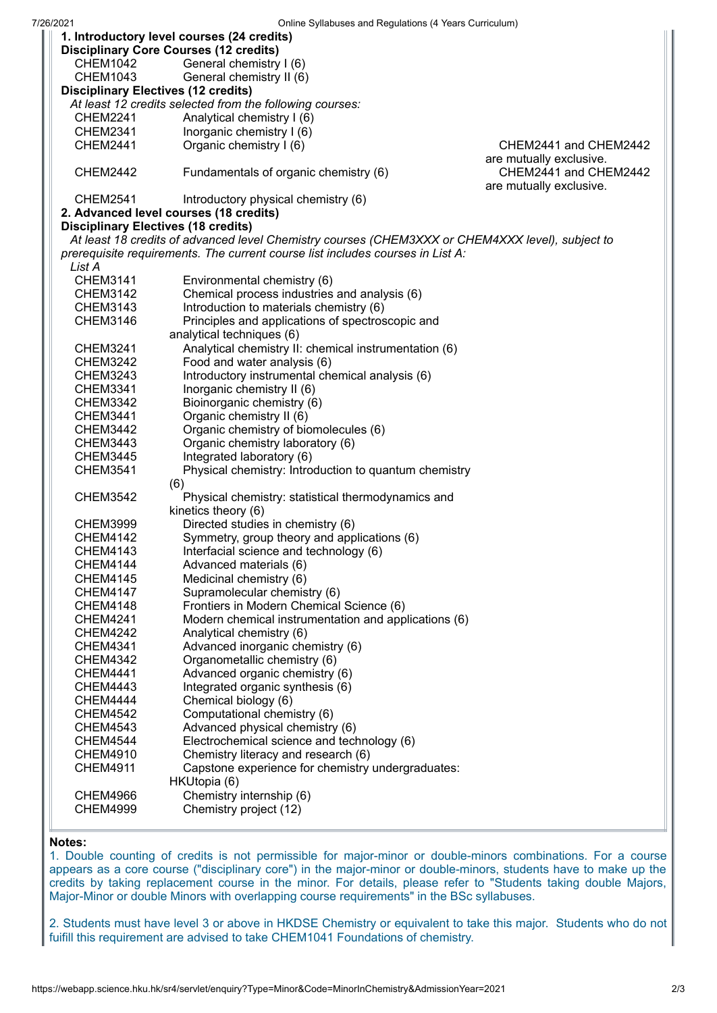| Unline Ovilabuses and Requisitions (+ Tears Curriculum)<br>1. Introductory level courses (24 credits) |                                                                               |                                                                                                  |                         |  |  |
|-------------------------------------------------------------------------------------------------------|-------------------------------------------------------------------------------|--------------------------------------------------------------------------------------------------|-------------------------|--|--|
|                                                                                                       | <b>Disciplinary Core Courses (12 credits)</b>                                 |                                                                                                  |                         |  |  |
| <b>CHEM1042</b>                                                                                       | General chemistry I (6)                                                       |                                                                                                  |                         |  |  |
| <b>CHEM1043</b>                                                                                       | General chemistry II (6)                                                      |                                                                                                  |                         |  |  |
| <b>Disciplinary Electives (12 credits)</b>                                                            |                                                                               |                                                                                                  |                         |  |  |
| At least 12 credits selected from the following courses:                                              |                                                                               |                                                                                                  |                         |  |  |
| <b>CHEM2241</b>                                                                                       | Analytical chemistry I (6)                                                    |                                                                                                  |                         |  |  |
| <b>CHEM2341</b>                                                                                       | Inorganic chemistry I (6)                                                     |                                                                                                  |                         |  |  |
| <b>CHEM2441</b>                                                                                       | Organic chemistry I (6)                                                       |                                                                                                  | CHEM2441 and CHEM2442   |  |  |
| are mutually exclusive.                                                                               |                                                                               |                                                                                                  |                         |  |  |
| <b>CHEM2442</b>                                                                                       | Fundamentals of organic chemistry (6)                                         | CHEM2441 and CHEM2442                                                                            |                         |  |  |
| <b>CHEM2541</b>                                                                                       |                                                                               |                                                                                                  | are mutually exclusive. |  |  |
|                                                                                                       | Introductory physical chemistry (6)<br>2. Advanced level courses (18 credits) |                                                                                                  |                         |  |  |
| <b>Disciplinary Electives (18 credits)</b>                                                            |                                                                               |                                                                                                  |                         |  |  |
|                                                                                                       |                                                                               | At least 18 credits of advanced level Chemistry courses (CHEM3XXX or CHEM4XXX level), subject to |                         |  |  |
|                                                                                                       |                                                                               | prerequisite requirements. The current course list includes courses in List A:                   |                         |  |  |
| List A                                                                                                |                                                                               |                                                                                                  |                         |  |  |
| <b>CHEM3141</b>                                                                                       |                                                                               |                                                                                                  |                         |  |  |
|                                                                                                       | Environmental chemistry (6)                                                   |                                                                                                  |                         |  |  |
| CHEM3142                                                                                              |                                                                               | Chemical process industries and analysis (6)                                                     |                         |  |  |
| <b>CHEM3143</b>                                                                                       | Introduction to materials chemistry (6)                                       |                                                                                                  |                         |  |  |
| <b>CHEM3146</b>                                                                                       |                                                                               | Principles and applications of spectroscopic and                                                 |                         |  |  |
|                                                                                                       | analytical techniques (6)                                                     |                                                                                                  |                         |  |  |
| <b>CHEM3241</b>                                                                                       |                                                                               | Analytical chemistry II: chemical instrumentation (6)                                            |                         |  |  |
| <b>CHEM3242</b>                                                                                       | Food and water analysis (6)                                                   |                                                                                                  |                         |  |  |
| <b>CHEM3243</b>                                                                                       |                                                                               | Introductory instrumental chemical analysis (6)                                                  |                         |  |  |
| <b>CHEM3341</b>                                                                                       | Inorganic chemistry II (6)                                                    |                                                                                                  |                         |  |  |
| <b>CHEM3342</b>                                                                                       | Bioinorganic chemistry (6)                                                    |                                                                                                  |                         |  |  |
| CHEM3441                                                                                              | Organic chemistry II (6)                                                      |                                                                                                  |                         |  |  |
| <b>CHEM3442</b>                                                                                       |                                                                               | Organic chemistry of biomolecules (6)                                                            |                         |  |  |
| <b>CHEM3443</b>                                                                                       | Organic chemistry laboratory (6)                                              |                                                                                                  |                         |  |  |
| <b>CHEM3445</b>                                                                                       | Integrated laboratory (6)                                                     |                                                                                                  |                         |  |  |
| <b>CHEM3541</b>                                                                                       |                                                                               | Physical chemistry: Introduction to quantum chemistry                                            |                         |  |  |
| <b>CHEM3542</b>                                                                                       | (6)                                                                           | Physical chemistry: statistical thermodynamics and                                               |                         |  |  |
|                                                                                                       | kinetics theory (6)                                                           |                                                                                                  |                         |  |  |
| <b>CHEM3999</b>                                                                                       | Directed studies in chemistry (6)                                             |                                                                                                  |                         |  |  |
| <b>CHEM4142</b>                                                                                       |                                                                               | Symmetry, group theory and applications (6)                                                      |                         |  |  |
| <b>CHEM4143</b>                                                                                       | Interfacial science and technology (6)                                        |                                                                                                  |                         |  |  |
| <b>CHEM4144</b>                                                                                       | Advanced materials (6)                                                        |                                                                                                  |                         |  |  |
| <b>CHEM4145</b>                                                                                       | Medicinal chemistry (6)                                                       |                                                                                                  |                         |  |  |
| <b>CHEM4147</b>                                                                                       | Supramolecular chemistry (6)                                                  |                                                                                                  |                         |  |  |
| <b>CHEM4148</b>                                                                                       |                                                                               | Frontiers in Modern Chemical Science (6)                                                         |                         |  |  |
| <b>CHEM4241</b>                                                                                       |                                                                               | Modern chemical instrumentation and applications (6)                                             |                         |  |  |
| <b>CHEM4242</b>                                                                                       | Analytical chemistry (6)                                                      |                                                                                                  |                         |  |  |
| <b>CHEM4341</b>                                                                                       | Advanced inorganic chemistry (6)                                              |                                                                                                  |                         |  |  |
| <b>CHEM4342</b>                                                                                       | Organometallic chemistry (6)                                                  |                                                                                                  |                         |  |  |
| <b>CHEM4441</b>                                                                                       | Advanced organic chemistry (6)                                                |                                                                                                  |                         |  |  |
| <b>CHEM4443</b>                                                                                       | Integrated organic synthesis (6)                                              |                                                                                                  |                         |  |  |
| CHEM4444                                                                                              | Chemical biology (6)                                                          |                                                                                                  |                         |  |  |
| <b>CHEM4542</b>                                                                                       | Computational chemistry (6)                                                   |                                                                                                  |                         |  |  |
| <b>CHEM4543</b>                                                                                       | Advanced physical chemistry (6)                                               |                                                                                                  |                         |  |  |
| <b>CHEM4544</b>                                                                                       |                                                                               | Electrochemical science and technology (6)                                                       |                         |  |  |
| <b>CHEM4910</b>                                                                                       | Chemistry literacy and research (6)                                           |                                                                                                  |                         |  |  |
| <b>CHEM4911</b>                                                                                       |                                                                               | Capstone experience for chemistry undergraduates:                                                |                         |  |  |
|                                                                                                       | HKUtopia (6)                                                                  |                                                                                                  |                         |  |  |
| CHEM4966                                                                                              | Chemistry internship (6)                                                      |                                                                                                  |                         |  |  |
| <b>CHEM4999</b>                                                                                       | Chemistry project (12)                                                        |                                                                                                  |                         |  |  |
|                                                                                                       |                                                                               |                                                                                                  |                         |  |  |
|                                                                                                       |                                                                               |                                                                                                  |                         |  |  |

## **Notes:**

1. Double counting of credits is not permissible for major-minor or double-minors combinations. For a course appears as a core course ("disciplinary core") in the major-minor or double-minors, students have to make up the credits by taking replacement course in the minor. For details, please refer to "Students taking double Majors, Major-Minor or double Minors with overlapping course requirements" in the BSc syllabuses.

2. Students must have level 3 or above in HKDSE Chemistry or equivalent to take this major. Students who do not fuifill this requirement are advised to take CHEM1041 Foundations of chemistry.